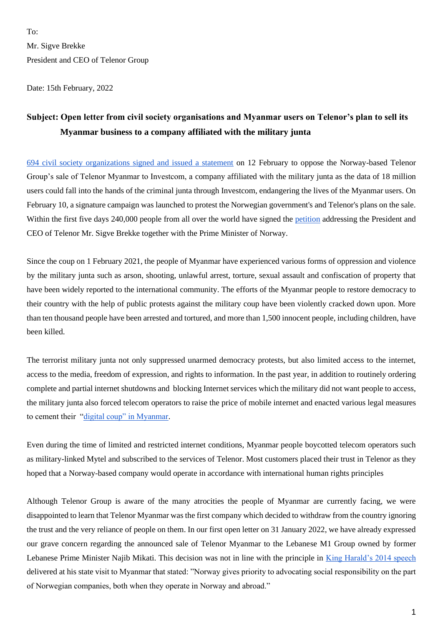$To'$ Mr. Sigve Brekke President and CEO of Telenor Group

Date: 15th February, 2022

## **Subject: Open letter from civil society organisations and Myanmar users on Telenor's plan to sell its Myanmar business to a company affiliated with the military junta**

694 [civil society organizations signed and issued a statement](https://progressivevoicemyanmar.org/2022/02/12/statement-signed-by-694-civil-society-organizations-to-oppose-telenors-irresponsible-management-of-user-data-and-its-plan-to-sell-telenor-myanmar-to-a-military-linked-company/) on 12 February to oppose the Norway-based Telenor Group's sale of Telenor Myanmar to Investcom, a company affiliated with the military junta as the data of 18 million users could fall into the hands of the criminal junta through Investcom, endangering the lives of the Myanmar users. On February 10, a signature campaign was launched to protest the Norwegian government's and Telenor's plans on the sale. Within the first five days 240,000 people from all over the world have signed the [petition](https://actionnetwork.org/petitions/telenormyanmar) addressing the President and CEO of Telenor Mr. Sigve Brekke together with the Prime Minister of Norway.

Since the coup on 1 February 2021, the people of Myanmar have experienced various forms of oppression and violence by the military junta such as arson, shooting, unlawful arrest, torture, sexual assault and confiscation of property that have been widely reported to the international community. The efforts of the Myanmar people to restore democracy to their country with the help of public protests against the military coup have been violently cracked down upon. More than ten thousand people have been arrested and tortured, and more than 1,500 innocent people, including children, have been killed.

The terrorist military junta not only suppressed unarmed democracy protests, but also limited access to the internet, access to the media, freedom of expression, and rights to information. In the past year, in addition to routinely ordering complete and partial internet shutdowns and blocking Internet services which the military did not want people to access, the military junta also forced telecom operators to raise the price of mobile internet and enacted various legal measures to cement their ["digital coup" in Myanmar.](https://www.accessnow.org/myanmars-digital-coup-statement/)

Even during the time of limited and restricted internet conditions, Myanmar people boycotted telecom operators such as military-linked Mytel and subscribed to the services of Telenor. Most customers placed their trust in Telenor as they hoped that a Norway-based company would operate in accordance with international human rights principles

Although Telenor Group is aware of the many atrocities the people of Myanmar are currently facing, we were disappointed to learn that Telenor Myanmar was the first company which decided to withdraw from the country ignoring the trust and the very reliance of people on them. In our first open letter on 31 January 2022, we have already expressed our grave concern regarding the announced sale of Telenor Myanmar to the Lebanese M1 Group owned by former Lebanese Prime Minister Najib Mikati. This decision was not in line with the principle in [King Harald's 2014 speech](https://www.royalcourt.no/tale.html?tid=123814&sek=28409&scope=27248) delivered at his state visit to Myanmar that stated: "Norway gives priority to advocating social responsibility on the part of Norwegian companies, both when they operate in Norway and abroad."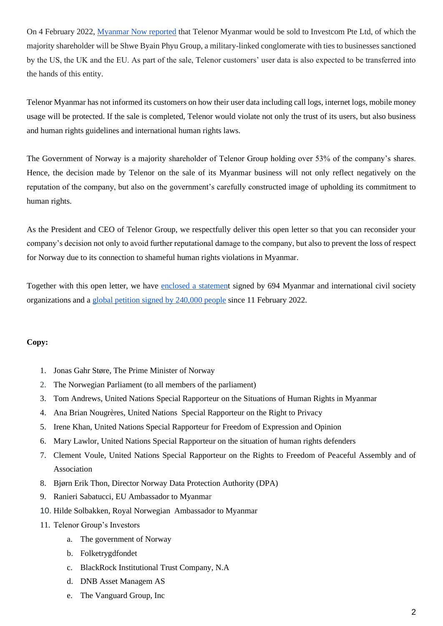On 4 February 2022, [Myanmar Now reported](https://www.myanmar-now.org/en/news/telenor-sale-to-military-linked-consortium-to-be-complete-in-mid-february) that Telenor Myanmar would be sold to Investcom Pte Ltd, of which the majority shareholder will be Shwe Byain Phyu Group, a military-linked conglomerate with ties to businesses sanctioned by the US, the UK and the EU. As part of the sale, Telenor customers' user data is also expected to be transferred into the hands of this entity.

Telenor Myanmar has not informed its customers on how their user data including call logs, internet logs, mobile money usage will be protected. If the sale is completed, Telenor would violate not only the trust of its users, but also business and human rights guidelines and international human rights laws.

The Government of Norway is a majority shareholder of Telenor Group holding over 53% of the company's shares. Hence, the decision made by Telenor on the sale of its Myanmar business will not only reflect negatively on the reputation of the company, but also on the government's carefully constructed image of upholding its commitment to human rights.

As the President and CEO of Telenor Group, we respectfully deliver this open letter so that you can reconsider your company's decision not only to avoid further reputational damage to the company, but also to prevent the loss of respect for Norway due to its connection to shameful human rights violations in Myanmar.

Together with this open letter, we have [enclosed a statement](https://progressivevoicemyanmar.org/2022/02/12/statement-signed-by-694-civil-society-organizations-to-oppose-telenors-irresponsible-management-of-user-data-and-its-plan-to-sell-telenor-myanmar-to-a-military-linked-company/) signed by 694 Myanmar and international civil society organizations and a [global petition signed by](https://actionnetwork.org/petitions/telenormyanmar) 240,000 people since 11 February 2022.

## **Copy:**

- 1. Jonas Gahr Støre, The Prime Minister of Norway
- 2. The Norwegian Parliament (to all members of the parliament)
- 3. Tom Andrews, United Nations Special Rapporteur on the Situations of Human Rights in Myanmar
- 4. Ana Brian Nougrères, United Nations Special Rapporteur on the Right to Privacy
- 5. Irene Khan, United Nations Special Rapporteur for Freedom of Expression and Opinion
- 6. Mary Lawlor, United Nations Special Rapporteur on the situation of human rights defenders
- 7. Clement Voule, United Nations Special Rapporteur on the Rights to Freedom of Peaceful Assembly and of Association
- 8. Bjørn Erik Thon, Director Norway Data Protection Authority (DPA)
- 9. Ranieri Sabatucci, EU Ambassador to Myanmar
- 10. Hilde Solbakken, Royal Norwegian Ambassador to Myanmar
- 11. Telenor Group's Investors
	- a. The government of Norway
	- b. Folketrygdfondet
	- c. BlackRock Institutional Trust Company, N.A
	- d. DNB Asset Managem AS
	- e. The Vanguard Group, Inc